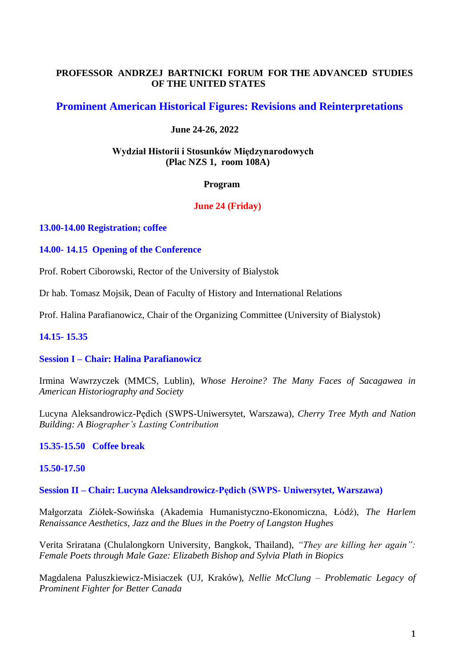# **PROFESSOR ANDRZEJ BARTNICKI FORUM FOR THE ADVANCED STUDIES OF THE UNITED STATES**

# **Prominent American Historical Figures: Revisions and Reinterpretations**

# **June 24-26, 2022**

## **Wydział Historii i Stosunków Międzynarodowych (Plac NZS 1, room 108A)**

### **Program**

# **June 24 (Friday)**

### **13.00-14.00 Registration; coffee**

## **14.00- 14.15 Opening of the Conference**

Prof. Robert Ciborowski, Rector of the University of Bialystok

Dr hab. Tomasz Mojsik, Dean of Faculty of History and International Relations

Prof. Halina Parafianowicz, Chair of the Organizing Committee (University of Bialystok)

# **14.15- 15.35**

### **Session I – Chair: Halina Parafianowicz**

Irmina Wawrzyczek (MMCS, Lublin), *Whose Heroine? The Many Faces of Sacagawea in American Historiography and Society* 

Lucyna Aleksandrowicz-Pędich (SWPS-Uniwersytet, Warszawa), *Cherry Tree Myth and Nation Building: A Biographer's Lasting Contribution* 

# **15.35-15.50 Coffee break**

### **15.50-17.50**

**Session II – Chair: Lucyna Aleksandrowicz-Pędich (SWPS- Uniwersytet, Warszawa)**

Małgorzata Ziółek-Sowińska (Akademia Humanistyczno-Ekonomiczna, Łódź), *The Harlem Renaissance Aesthetics, Jazz and the Blues in the Poetry of Langston Hughes*

Verita Sriratana (Chulalongkorn University, Bangkok, Thailand), *"They are killing her again": Female Poets through Male Gaze: Elizabeth Bishop and Sylvia Plath in Biopics*

Magdalena Paluszkiewicz-Misiaczek (UJ, Kraków), *Nellie McClung – Problematic Legacy of Prominent Fighter for Better Canada*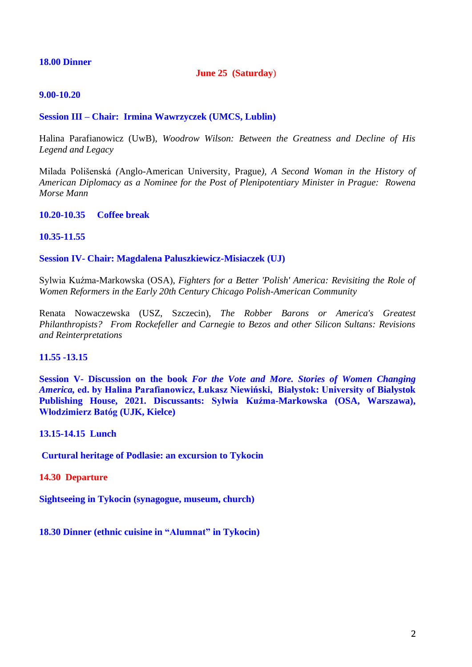### **18.00 Dinner**

## **June 25 (Saturday**)

### **9.00-10.20**

## **Session III – Chair: Irmina Wawrzyczek (UMCS, Lublin)**

Halina Parafianowicz (UwB), *Woodrow Wilson: Between the Greatness and Decline of His Legend and Legacy*

Milada Polišenská *(*Anglo-American University, Prague*), A Second Woman in the History of American Diplomacy as a Nominee for the Post of Plenipotentiary Minister in Prague: Rowena Morse Mann* 

**10.20-10.35 Coffee break** 

### **10.35-11.55**

#### **Session IV- Chair: Magdalena Paluszkiewicz-Misiaczek (UJ)**

Sylwia Kuźma-Markowska (OSA), *Fighters for a Better 'Polish' America: Revisiting the Role of Women Reformers in the Early 20th Century Chicago Polish-American Community*

Renata Nowaczewska (USZ, Szczecin), *The Robber Barons or America's Greatest Philanthropists? From Rockefeller and Carnegie to Bezos and other Silicon Sultans: Revisions and Reinterpretations*

### **11.55 -13.15**

**Session V- Discussion on the book** *For the Vote and More. Stories of Women Changing America,* **ed. by Halina Parafianowicz, Łukasz Niewiński, Białystok: University of Bialystok Publishing House, 2021. Discussants: Sylwia Kuźma-Markowska (OSA, Warszawa), Włodzimierz Batóg (UJK, Kielce)**

### **13.15-14.15 Lunch**

**Curtural heritage of Podlasie: an excursion to Tykocin**

#### **14.30 Departure**

**Sightseeing in Tykocin (synagogue, museum, church)**

**18.30 Dinner (ethnic cuisine in "Alumnat" in Tykocin)**